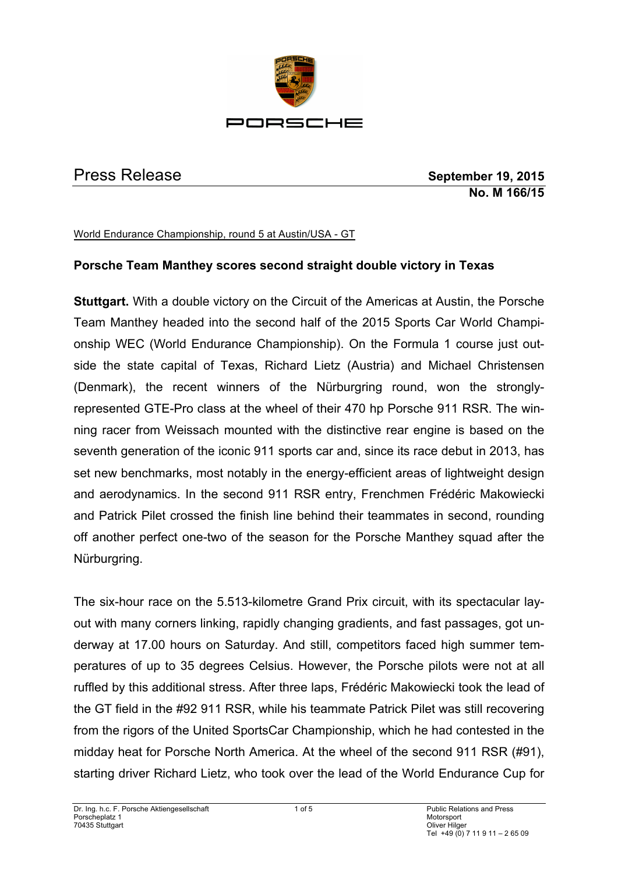

Press Release **September 19, 2015 No. M 166/15**

World Endurance Championship, round 5 at Austin/USA - GT

## **Porsche Team Manthey scores second straight double victory in Texas**

**Stuttgart.** With a double victory on the Circuit of the Americas at Austin, the Porsche Team Manthey headed into the second half of the 2015 Sports Car World Championship WEC (World Endurance Championship). On the Formula 1 course just outside the state capital of Texas, Richard Lietz (Austria) and Michael Christensen (Denmark), the recent winners of the Nürburgring round, won the stronglyrepresented GTE-Pro class at the wheel of their 470 hp Porsche 911 RSR. The winning racer from Weissach mounted with the distinctive rear engine is based on the seventh generation of the iconic 911 sports car and, since its race debut in 2013, has set new benchmarks, most notably in the energy-efficient areas of lightweight design and aerodynamics. In the second 911 RSR entry, Frenchmen Frédéric Makowiecki and Patrick Pilet crossed the finish line behind their teammates in second, rounding off another perfect one-two of the season for the Porsche Manthey squad after the Nürburgring.

The six-hour race on the 5.513-kilometre Grand Prix circuit, with its spectacular layout with many corners linking, rapidly changing gradients, and fast passages, got underway at 17.00 hours on Saturday. And still, competitors faced high summer temperatures of up to 35 degrees Celsius. However, the Porsche pilots were not at all ruffled by this additional stress. After three laps, Frédéric Makowiecki took the lead of the GT field in the #92 911 RSR, while his teammate Patrick Pilet was still recovering from the rigors of the United SportsCar Championship, which he had contested in the midday heat for Porsche North America. At the wheel of the second 911 RSR (#91), starting driver Richard Lietz, who took over the lead of the World Endurance Cup for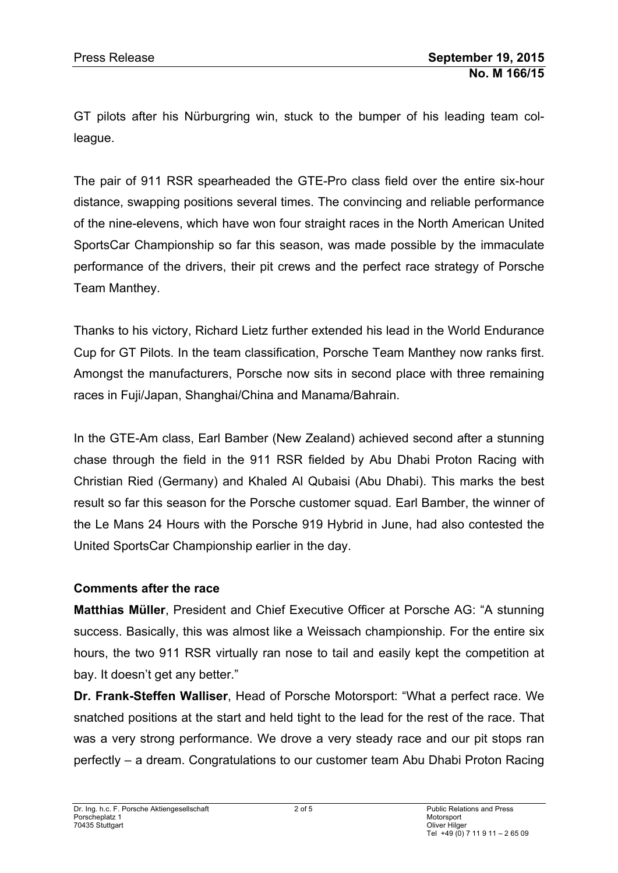GT pilots after his Nürburgring win, stuck to the bumper of his leading team colleague.

The pair of 911 RSR spearheaded the GTE-Pro class field over the entire six-hour distance, swapping positions several times. The convincing and reliable performance of the nine-elevens, which have won four straight races in the North American United SportsCar Championship so far this season, was made possible by the immaculate performance of the drivers, their pit crews and the perfect race strategy of Porsche Team Manthey.

Thanks to his victory, Richard Lietz further extended his lead in the World Endurance Cup for GT Pilots. In the team classification, Porsche Team Manthey now ranks first. Amongst the manufacturers, Porsche now sits in second place with three remaining races in Fuji/Japan, Shanghai/China and Manama/Bahrain.

In the GTE-Am class, Earl Bamber (New Zealand) achieved second after a stunning chase through the field in the 911 RSR fielded by Abu Dhabi Proton Racing with Christian Ried (Germany) and Khaled Al Qubaisi (Abu Dhabi). This marks the best result so far this season for the Porsche customer squad. Earl Bamber, the winner of the Le Mans 24 Hours with the Porsche 919 Hybrid in June, had also contested the United SportsCar Championship earlier in the day.

## **Comments after the race**

**Matthias Müller**, President and Chief Executive Officer at Porsche AG: "A stunning success. Basically, this was almost like a Weissach championship. For the entire six hours, the two 911 RSR virtually ran nose to tail and easily kept the competition at bay. It doesn't get any better."

**Dr. Frank-Steffen Walliser**, Head of Porsche Motorsport: "What a perfect race. We snatched positions at the start and held tight to the lead for the rest of the race. That was a very strong performance. We drove a very steady race and our pit stops ran perfectly – a dream. Congratulations to our customer team Abu Dhabi Proton Racing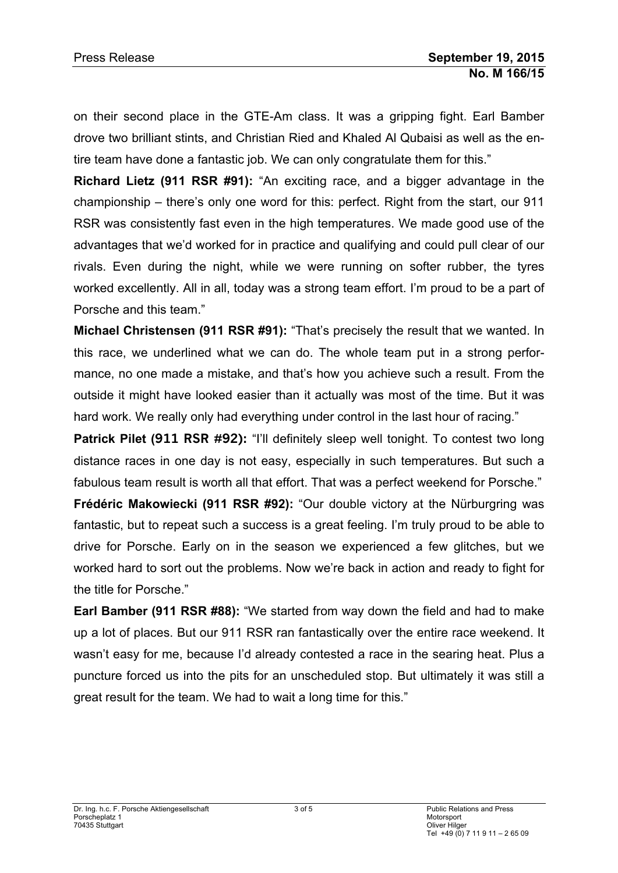on their second place in the GTE-Am class. It was a gripping fight. Earl Bamber drove two brilliant stints, and Christian Ried and Khaled Al Qubaisi as well as the entire team have done a fantastic job. We can only congratulate them for this."

**Richard Lietz (911 RSR #91):** "An exciting race, and a bigger advantage in the championship – there's only one word for this: perfect. Right from the start, our 911 RSR was consistently fast even in the high temperatures. We made good use of the advantages that we'd worked for in practice and qualifying and could pull clear of our rivals. Even during the night, while we were running on softer rubber, the tyres worked excellently. All in all, today was a strong team effort. I'm proud to be a part of Porsche and this team."

**Michael Christensen (911 RSR #91):** "That's precisely the result that we wanted. In this race, we underlined what we can do. The whole team put in a strong performance, no one made a mistake, and that's how you achieve such a result. From the outside it might have looked easier than it actually was most of the time. But it was hard work. We really only had everything under control in the last hour of racing."

**Patrick Pilet (911 RSR #92):** "I'll definitely sleep well tonight. To contest two long distance races in one day is not easy, especially in such temperatures. But such a fabulous team result is worth all that effort. That was a perfect weekend for Porsche."

**Frédéric Makowiecki (911 RSR #92):** "Our double victory at the Nürburgring was fantastic, but to repeat such a success is a great feeling. I'm truly proud to be able to drive for Porsche. Early on in the season we experienced a few glitches, but we worked hard to sort out the problems. Now we're back in action and ready to fight for the title for Porsche."

**Earl Bamber (911 RSR #88):** "We started from way down the field and had to make up a lot of places. But our 911 RSR ran fantastically over the entire race weekend. It wasn't easy for me, because I'd already contested a race in the searing heat. Plus a puncture forced us into the pits for an unscheduled stop. But ultimately it was still a great result for the team. We had to wait a long time for this."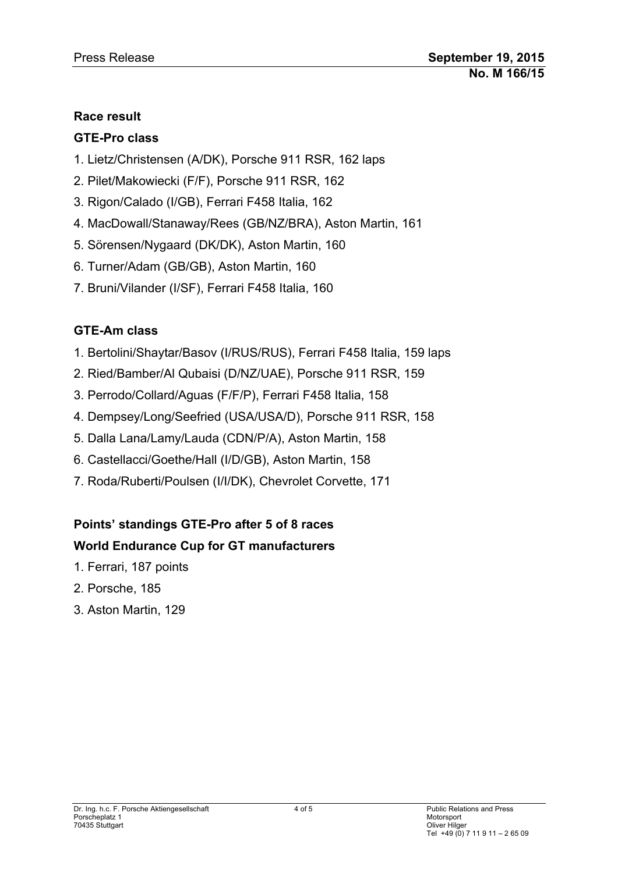## **Race result**

## **GTE-Pro class**

- 1. Lietz/Christensen (A/DK), Porsche 911 RSR, 162 laps
- 2. Pilet/Makowiecki (F/F), Porsche 911 RSR, 162
- 3. Rigon/Calado (I/GB), Ferrari F458 Italia, 162
- 4. MacDowall/Stanaway/Rees (GB/NZ/BRA), Aston Martin, 161
- 5. Sörensen/Nygaard (DK/DK), Aston Martin, 160
- 6. Turner/Adam (GB/GB), Aston Martin, 160
- 7. Bruni/Vilander (I/SF), Ferrari F458 Italia, 160

# **GTE-Am class**

- 1. Bertolini/Shaytar/Basov (I/RUS/RUS), Ferrari F458 Italia, 159 laps
- 2. Ried/Bamber/Al Qubaisi (D/NZ/UAE), Porsche 911 RSR, 159
- 3. Perrodo/Collard/Aguas (F/F/P), Ferrari F458 Italia, 158
- 4. Dempsey/Long/Seefried (USA/USA/D), Porsche 911 RSR, 158
- 5. Dalla Lana/Lamy/Lauda (CDN/P/A), Aston Martin, 158
- 6. Castellacci/Goethe/Hall (I/D/GB), Aston Martin, 158
- 7. Roda/Ruberti/Poulsen (I/I/DK), Chevrolet Corvette, 171

# **Points' standings GTE-Pro after 5 of 8 races**

# **World Endurance Cup for GT manufacturers**

- 1. Ferrari, 187 points
- 2. Porsche, 185
- 3. Aston Martin, 129